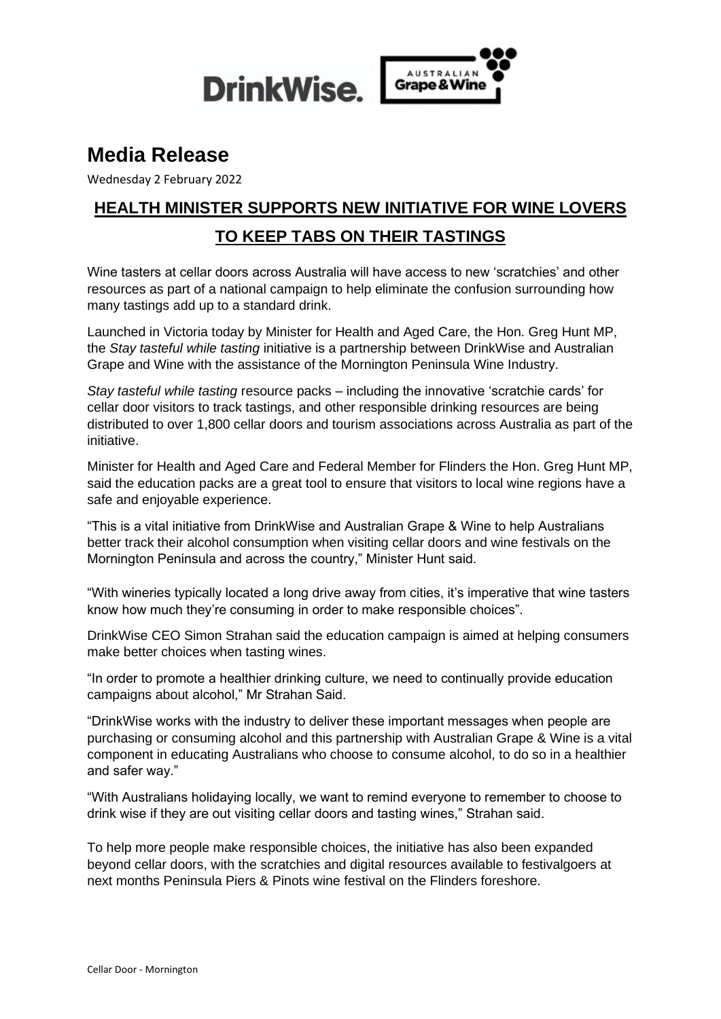

# **Media Release**

Wednesday 2 February 2022

# **HEALTH MINISTER SUPPORTS NEW INITIATIVE FOR WINE LOVERS TO KEEP TABS ON THEIR TASTINGS**

Wine tasters at cellar doors across Australia will have access to new 'scratchies' and other resources as part of a national campaign to help eliminate the confusion surrounding how many tastings add up to a standard drink.

Launched in Victoria today by Minister for Health and Aged Care, the Hon. Greg Hunt MP, the *Stay tasteful while tasting* initiative is a partnership between DrinkWise and Australian Grape and Wine with the assistance of the Mornington Peninsula Wine Industry.

*Stay tasteful while tasting* resource packs – including the innovative 'scratchie cards' for cellar door visitors to track tastings, and other responsible drinking resources are being distributed to over 1,800 cellar doors and tourism associations across Australia as part of the initiative.

Minister for Health and Aged Care and Federal Member for Flinders the Hon. Greg Hunt MP, said the education packs are a great tool to ensure that visitors to local wine regions have a safe and enjoyable experience.

"This is a vital initiative from DrinkWise and Australian Grape & Wine to help Australians better track their alcohol consumption when visiting cellar doors and wine festivals on the Mornington Peninsula and across the country," Minister Hunt said.

"With wineries typically located a long drive away from cities, it's imperative that wine tasters know how much they're consuming in order to make responsible choices".

DrinkWise CEO Simon Strahan said the education campaign is aimed at helping consumers make better choices when tasting wines.

"In order to promote a healthier drinking culture, we need to continually provide education campaigns about alcohol," Mr Strahan Said.

"DrinkWise works with the industry to deliver these important messages when people are purchasing or consuming alcohol and this partnership with Australian Grape & Wine is a vital component in educating Australians who choose to consume alcohol, to do so in a healthier and safer way."

"With Australians holidaying locally, we want to remind everyone to remember to choose to drink wise if they are out visiting cellar doors and tasting wines," Strahan said.

To help more people make responsible choices, the initiative has also been expanded beyond cellar doors, with the scratchies and digital resources available to festivalgoers at next months Peninsula Piers & Pinots wine festival on the Flinders foreshore.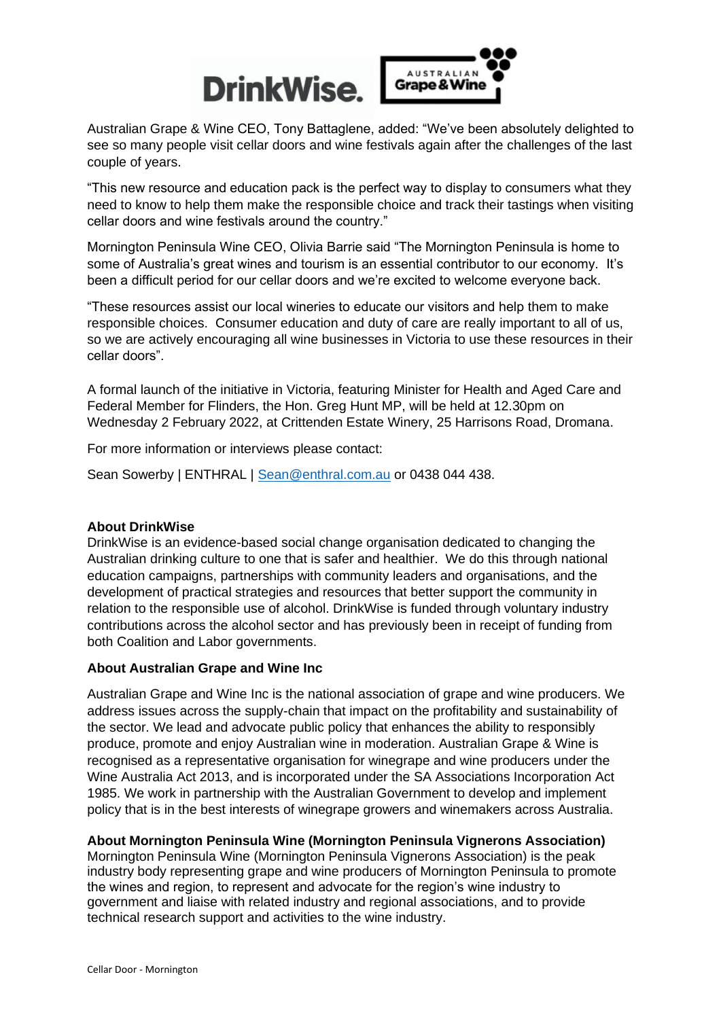

Australian Grape & Wine CEO, Tony Battaglene, added: "We've been absolutely delighted to see so many people visit cellar doors and wine festivals again after the challenges of the last couple of years.

"This new resource and education pack is the perfect way to display to consumers what they need to know to help them make the responsible choice and track their tastings when visiting cellar doors and wine festivals around the country."

Mornington Peninsula Wine CEO, Olivia Barrie said "The Mornington Peninsula is home to some of Australia's great wines and tourism is an essential contributor to our economy. It's been a difficult period for our cellar doors and we're excited to welcome everyone back.

"These resources assist our local wineries to educate our visitors and help them to make responsible choices. Consumer education and duty of care are really important to all of us, so we are actively encouraging all wine businesses in Victoria to use these resources in their cellar doors".

A formal launch of the initiative in Victoria, featuring Minister for Health and Aged Care and Federal Member for Flinders, the Hon. Greg Hunt MP, will be held at 12.30pm on Wednesday 2 February 2022, at Crittenden Estate Winery, 25 Harrisons Road, Dromana.

For more information or interviews please contact:

Sean Sowerby | ENTHRAL | Sean@enthral.com.au or 0438 044 438.

### **About DrinkWise**

DrinkWise is an evidence-based social change organisation dedicated to changing the Australian drinking culture to one that is safer and healthier. We do this through national education campaigns, partnerships with community leaders and organisations, and the development of practical strategies and resources that better support the community in relation to the responsible use of alcohol. DrinkWise is funded through voluntary industry contributions across the alcohol sector and has previously been in receipt of funding from both Coalition and Labor governments.

### **About Australian Grape and Wine Inc**

Australian Grape and Wine Inc is the national association of grape and wine producers. We address issues across the supply-chain that impact on the profitability and sustainability of the sector. We lead and advocate public policy that enhances the ability to responsibly produce, promote and enjoy Australian wine in moderation. Australian Grape & Wine is recognised as a representative organisation for winegrape and wine producers under the Wine Australia Act 2013, and is incorporated under the SA Associations Incorporation Act 1985. We work in partnership with the Australian Government to develop and implement policy that is in the best interests of winegrape growers and winemakers across Australia.

### **About Mornington Peninsula Wine (Mornington Peninsula Vignerons Association)**

Mornington Peninsula Wine (Mornington Peninsula Vignerons Association) is the peak industry body representing grape and wine producers of Mornington Peninsula to promote the wines and region, to represent and advocate for the region's wine industry to government and liaise with related industry and regional associations, and to provide technical research support and activities to the wine industry.